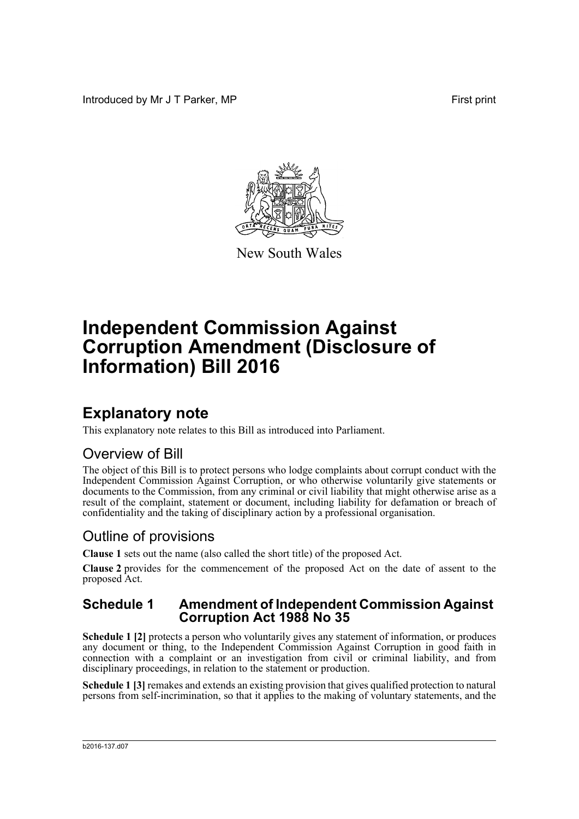Introduced by Mr J T Parker, MP **First** print



New South Wales

# **Independent Commission Against Corruption Amendment (Disclosure of Information) Bill 2016**

## **Explanatory note**

This explanatory note relates to this Bill as introduced into Parliament.

## Overview of Bill

The object of this Bill is to protect persons who lodge complaints about corrupt conduct with the Independent Commission Against Corruption, or who otherwise voluntarily give statements or documents to the Commission, from any criminal or civil liability that might otherwise arise as a result of the complaint, statement or document, including liability for defamation or breach of confidentiality and the taking of disciplinary action by a professional organisation.

## Outline of provisions

**Clause 1** sets out the name (also called the short title) of the proposed Act.

**Clause 2** provides for the commencement of the proposed Act on the date of assent to the proposed Act.

### **Schedule 1 Amendment of Independent Commission Against Corruption Act 1988 No 35**

**Schedule 1 [2]** protects a person who voluntarily gives any statement of information, or produces any document or thing, to the Independent Commission Against Corruption in good faith in connection with a complaint or an investigation from civil or criminal liability, and from disciplinary proceedings, in relation to the statement or production.

**Schedule 1 [3]** remakes and extends an existing provision that gives qualified protection to natural persons from self-incrimination, so that it applies to the making of voluntary statements, and the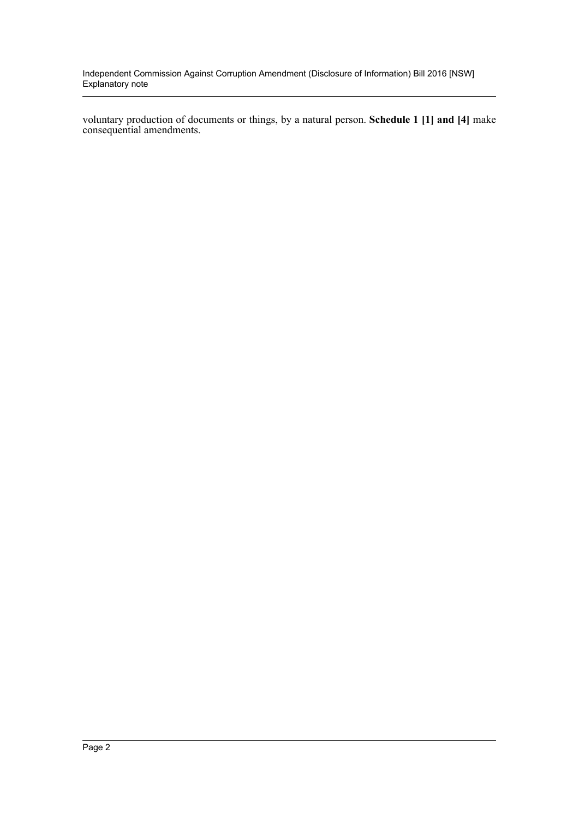Independent Commission Against Corruption Amendment (Disclosure of Information) Bill 2016 [NSW] Explanatory note

voluntary production of documents or things, by a natural person. **Schedule 1 [1] and [4]** make consequential amendments.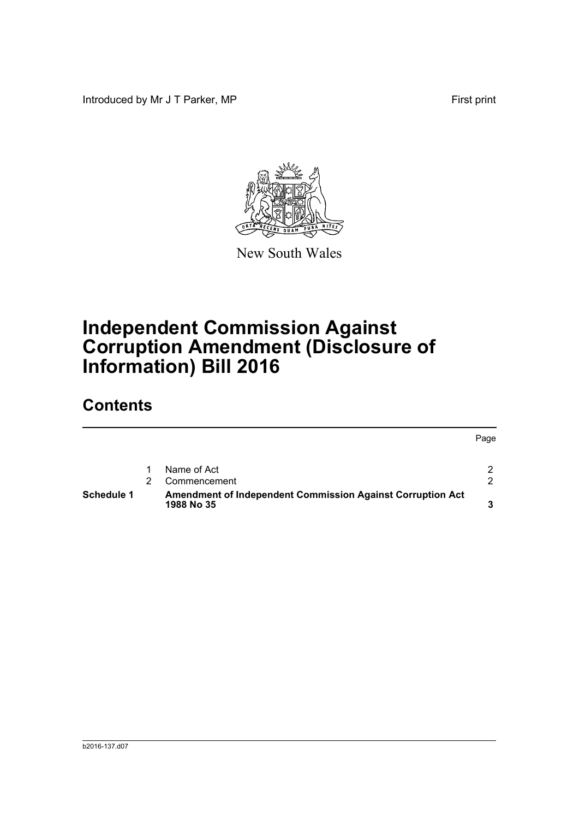Introduced by Mr J T Parker, MP First print



New South Wales

# **Independent Commission Against Corruption Amendment (Disclosure of Information) Bill 2016**

## **Contents**

|                   |                                                                                 | Page          |
|-------------------|---------------------------------------------------------------------------------|---------------|
|                   | Name of Act                                                                     | $\mathcal{P}$ |
|                   | Commencement                                                                    | $\mathcal{P}$ |
| <b>Schedule 1</b> | <b>Amendment of Independent Commission Against Corruption Act</b><br>1988 No 35 | ≏             |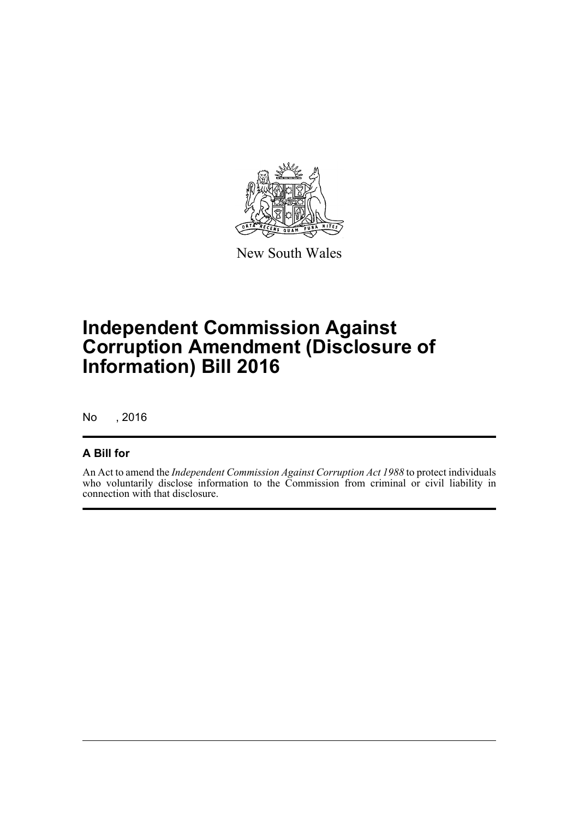

New South Wales

# **Independent Commission Against Corruption Amendment (Disclosure of Information) Bill 2016**

No , 2016

### **A Bill for**

An Act to amend the *Independent Commission Against Corruption Act 1988* to protect individuals who voluntarily disclose information to the Commission from criminal or civil liability in connection with that disclosure.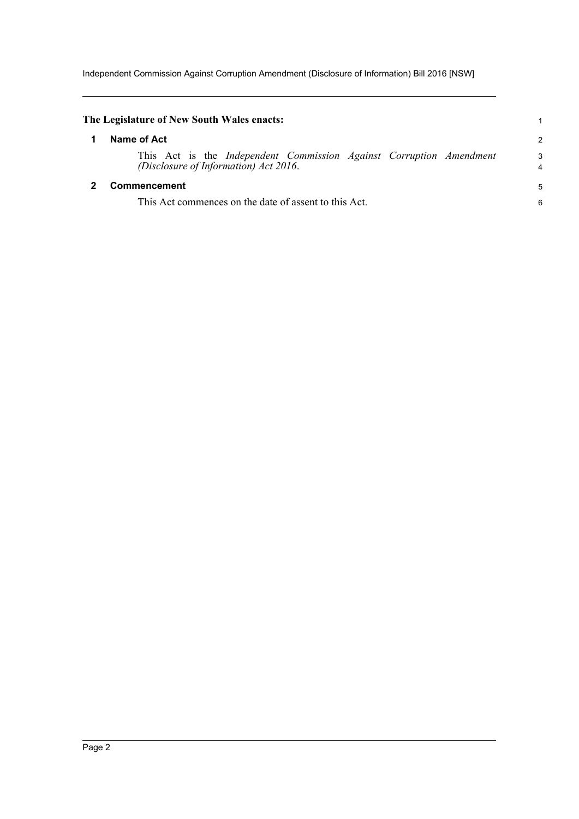Independent Commission Against Corruption Amendment (Disclosure of Information) Bill 2016 [NSW]

<span id="page-4-1"></span><span id="page-4-0"></span>

| The Legislature of New South Wales enacts:                                                                   |                |
|--------------------------------------------------------------------------------------------------------------|----------------|
| Name of Act                                                                                                  | $\overline{c}$ |
| This Act is the Independent Commission Against Corruption Amendment<br>(Disclosure of Information) Act 2016. | 3<br>4         |
| Commencement                                                                                                 | 5              |
| This Act commences on the date of assent to this Act.                                                        | 6              |
|                                                                                                              |                |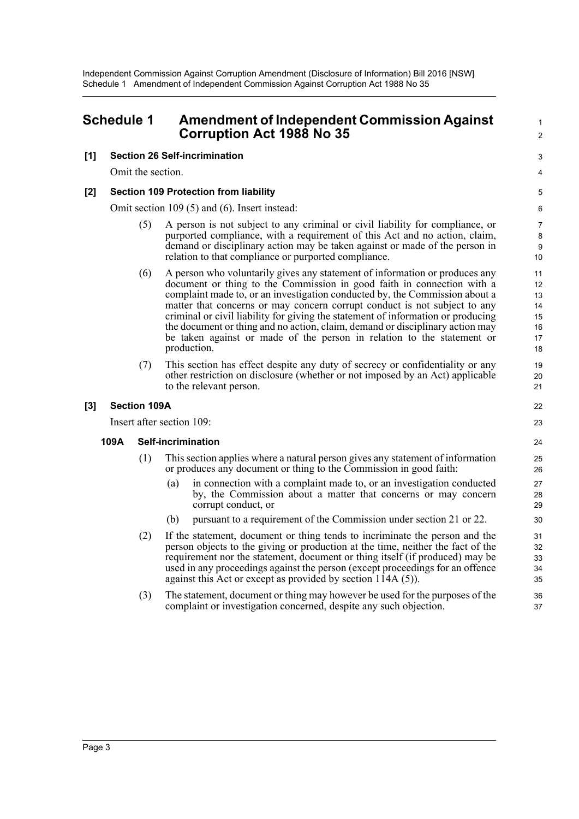## <span id="page-5-0"></span>**Schedule 1 Amendment of Independent Commission Against Corruption Act 1988 No 35**

### **[1] Section 26 Self-incrimination**

Omit the section.

### **[2] Section 109 Protection from liability**

Omit section 109 (5) and (6). Insert instead:

(5) A person is not subject to any criminal or civil liability for compliance, or purported compliance, with a requirement of this Act and no action, claim, demand or disciplinary action may be taken against or made of the person in relation to that compliance or purported compliance.

1  $\mathcal{L}$ 

3 4

22 23

- (6) A person who voluntarily gives any statement of information or produces any document or thing to the Commission in good faith in connection with a complaint made to, or an investigation conducted by, the Commission about a matter that concerns or may concern corrupt conduct is not subject to any criminal or civil liability for giving the statement of information or producing the document or thing and no action, claim, demand or disciplinary action may be taken against or made of the person in relation to the statement or production.
- (7) This section has effect despite any duty of secrecy or confidentiality or any other restriction on disclosure (whether or not imposed by an Act) applicable to the relevant person.

### **[3] Section 109A**

Insert after section 109:

#### **109A Self-incrimination**

- (1) This section applies where a natural person gives any statement of information or produces any document or thing to the Commission in good faith:
	- (a) in connection with a complaint made to, or an investigation conducted by, the Commission about a matter that concerns or may concern corrupt conduct, or
	- (b) pursuant to a requirement of the Commission under section 21 or 22.
- (2) If the statement, document or thing tends to incriminate the person and the person objects to the giving or production at the time, neither the fact of the requirement nor the statement, document or thing itself (if produced) may be used in any proceedings against the person (except proceedings for an offence against this Act or except as provided by section 114A (5)).
- (3) The statement, document or thing may however be used for the purposes of the complaint or investigation concerned, despite any such objection.